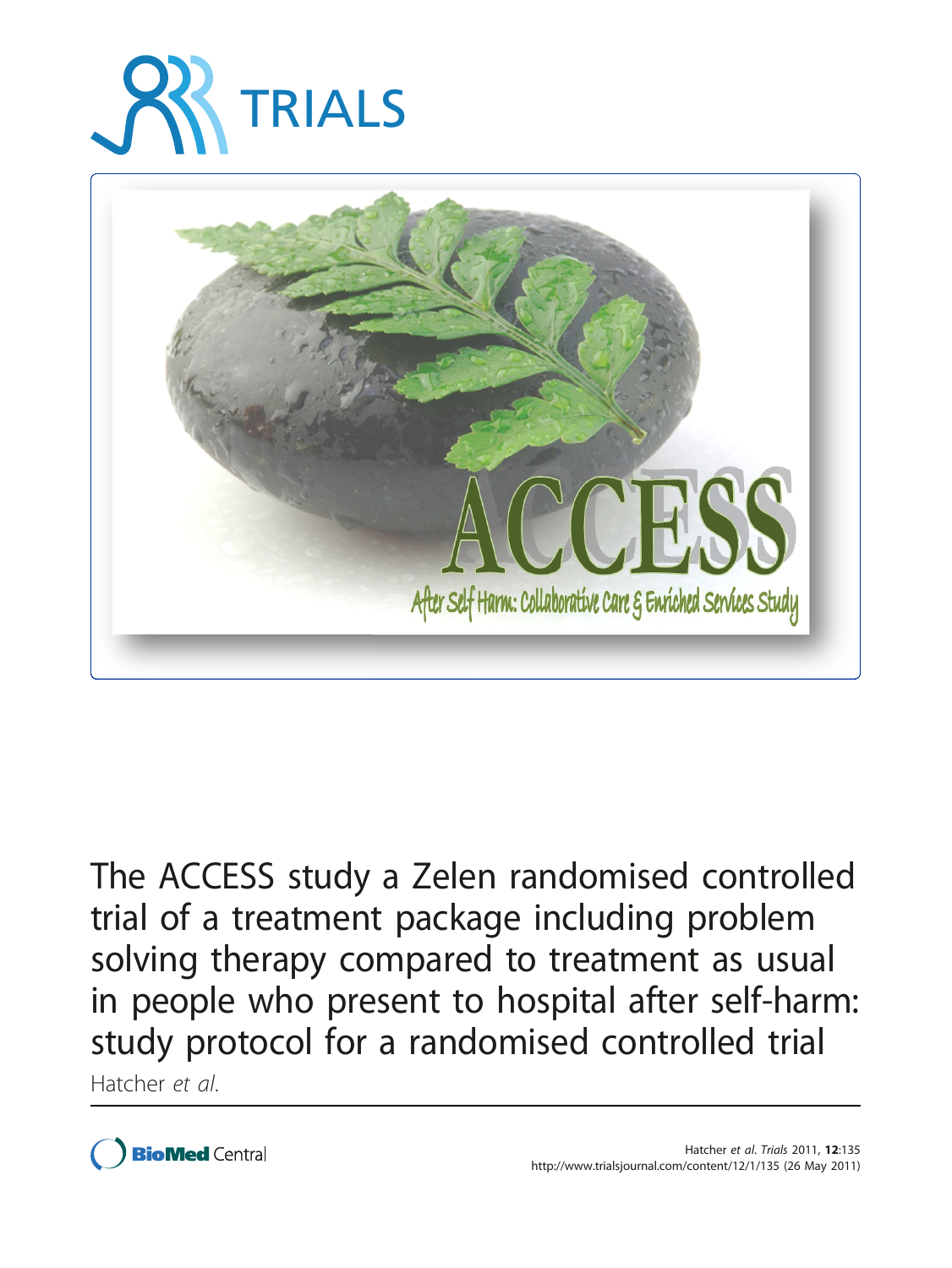



The ACCESS study a Zelen randomised controlled trial of a treatment package including problem solving therapy compared to treatment as usual in people who present to hospital after self-harm: study protocol for a randomised controlled trial Hatcher et al.

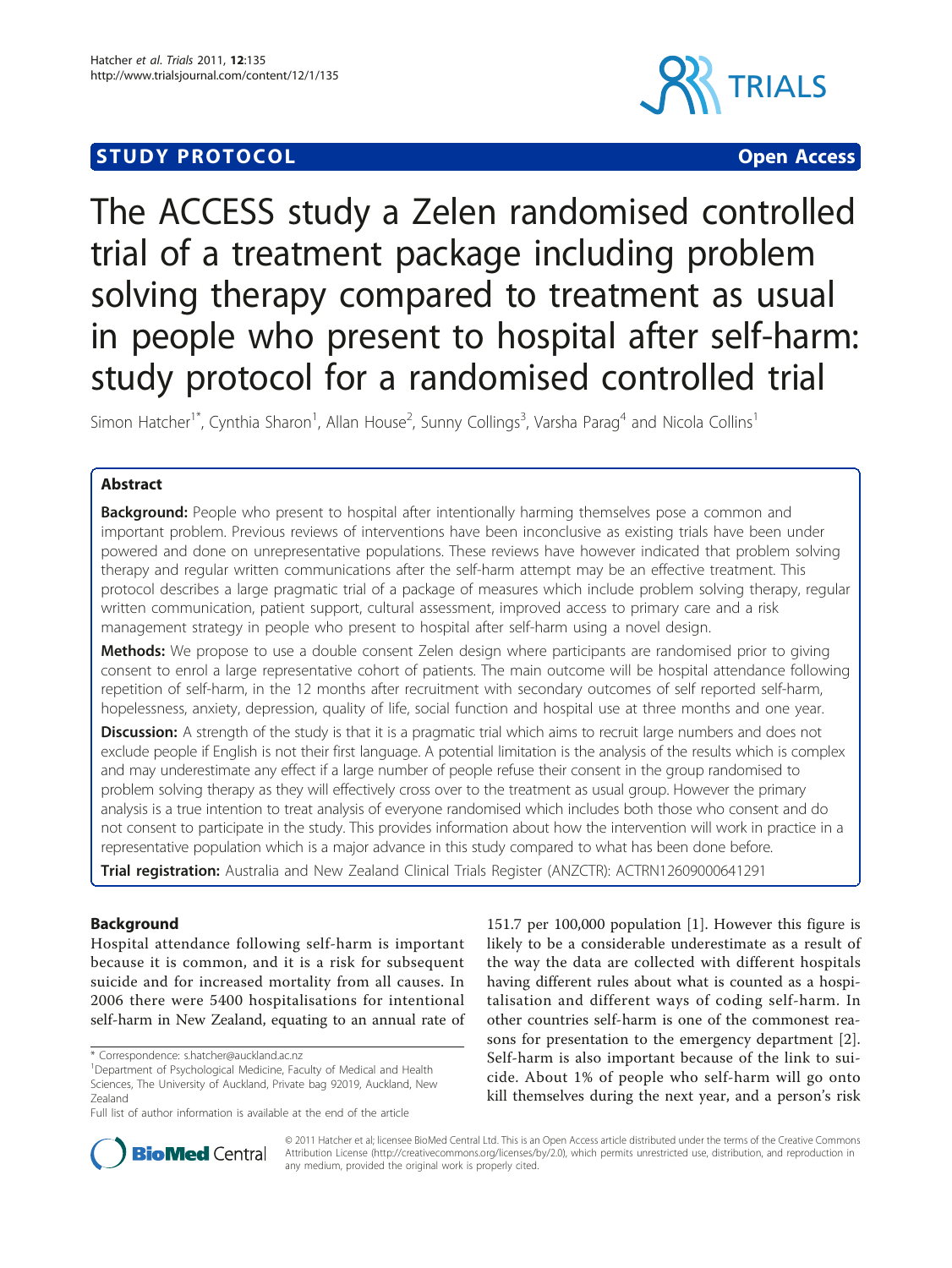## **STUDY PROTOCOL CONSUMING ACCESS**



# The ACCESS study a Zelen randomised controlled trial of a treatment package including problem solving therapy compared to treatment as usual in people who present to hospital after self-harm: study protocol for a randomised controlled trial

Simon Hatcher<sup>1\*</sup>, Cynthia Sharon<sup>1</sup>, Allan House<sup>2</sup>, Sunny Collings<sup>3</sup>, Varsha Parag<sup>4</sup> and Nicola Collins<sup>1</sup>

## Abstract

**Background:** People who present to hospital after intentionally harming themselves pose a common and important problem. Previous reviews of interventions have been inconclusive as existing trials have been under powered and done on unrepresentative populations. These reviews have however indicated that problem solving therapy and regular written communications after the self-harm attempt may be an effective treatment. This protocol describes a large pragmatic trial of a package of measures which include problem solving therapy, regular written communication, patient support, cultural assessment, improved access to primary care and a risk management strategy in people who present to hospital after self-harm using a novel design.

**Methods:** We propose to use a double consent Zelen design where participants are randomised prior to giving consent to enrol a large representative cohort of patients. The main outcome will be hospital attendance following repetition of self-harm, in the 12 months after recruitment with secondary outcomes of self reported self-harm, hopelessness, anxiety, depression, quality of life, social function and hospital use at three months and one year.

**Discussion:** A strength of the study is that it is a pragmatic trial which aims to recruit large numbers and does not exclude people if English is not their first language. A potential limitation is the analysis of the results which is complex and may underestimate any effect if a large number of people refuse their consent in the group randomised to problem solving therapy as they will effectively cross over to the treatment as usual group. However the primary analysis is a true intention to treat analysis of everyone randomised which includes both those who consent and do not consent to participate in the study. This provides information about how the intervention will work in practice in a representative population which is a major advance in this study compared to what has been done before.

Trial registration: Australia and New Zealand Clinical Trials Register (ANZCTR): [ACTRN12609000641291](http://www.anzctr.org.au/ACTRN12609000641291.aspx)

## Background

Hospital attendance following self-harm is important because it is common, and it is a risk for subsequent suicide and for increased mortality from all causes. In 2006 there were 5400 hospitalisations for intentional self-harm in New Zealand, equating to an annual rate of

\* Correspondence: [s.hatcher@auckland.ac.nz](mailto:s.hatcher@auckland.ac.nz)

151.7 per 100,000 population [[1\]](#page-8-0). However this figure is likely to be a considerable underestimate as a result of the way the data are collected with different hospitals having different rules about what is counted as a hospitalisation and different ways of coding self-harm. In other countries self-harm is one of the commonest reasons for presentation to the emergency department [[2](#page-8-0)]. Self-harm is also important because of the link to suicide. About 1% of people who self-harm will go onto kill themselves during the next year, and a person's risk



© 2011 Hatcher et al; licensee BioMed Central Ltd. This is an Open Access article distributed under the terms of the Creative Commons Attribution License [\(http://creativecommons.org/licenses/by/2.0](http://creativecommons.org/licenses/by/2.0)), which permits unrestricted use, distribution, and reproduction in any medium, provided the original work is properly cited.

<sup>&</sup>lt;sup>1</sup>Department of Psychological Medicine, Faculty of Medical and Health Sciences, The University of Auckland, Private bag 92019, Auckland, New Zealand

Full list of author information is available at the end of the article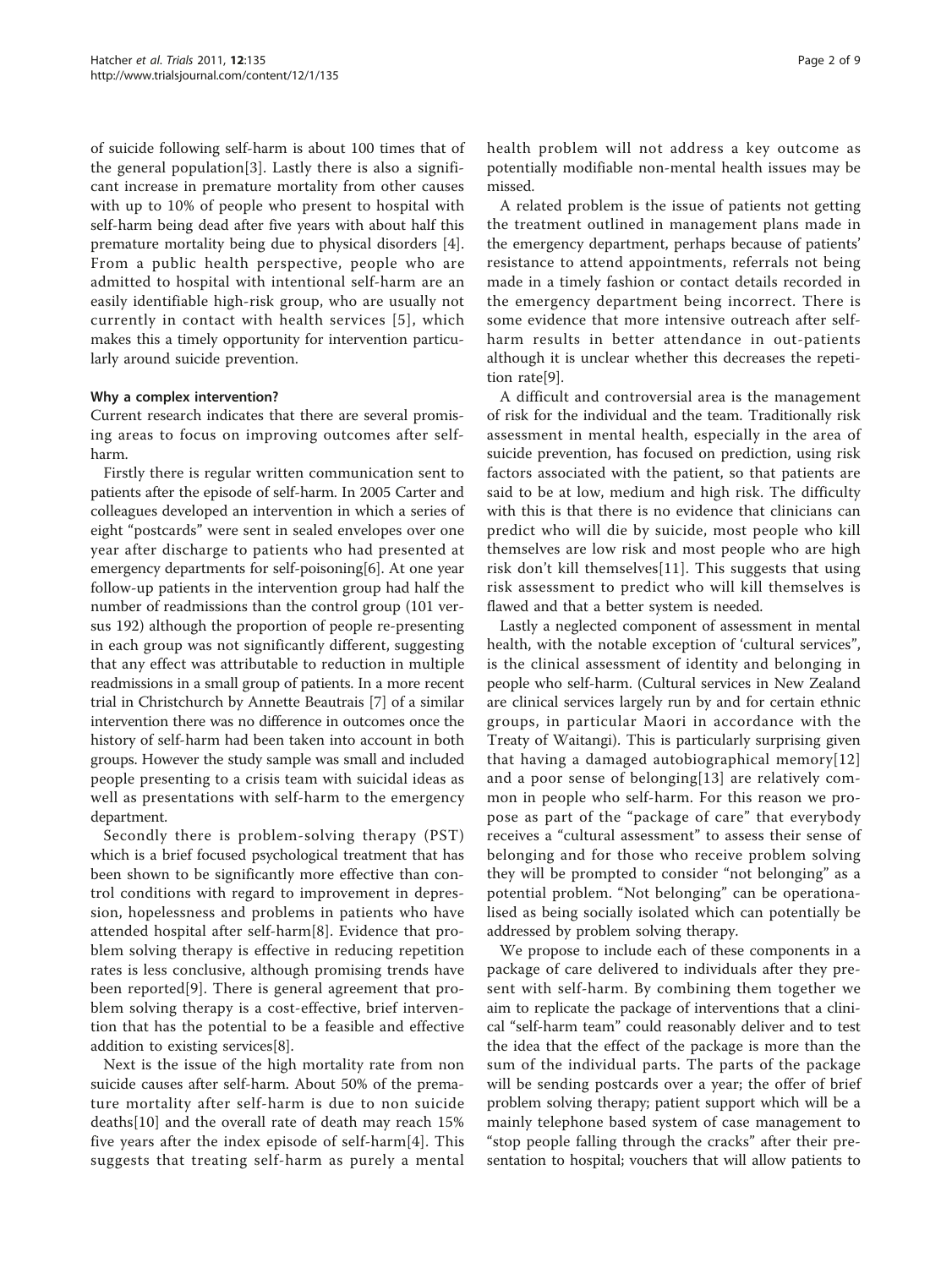of suicide following self-harm is about 100 times that of the general population[\[3](#page-8-0)]. Lastly there is also a significant increase in premature mortality from other causes with up to 10% of people who present to hospital with self-harm being dead after five years with about half this premature mortality being due to physical disorders [\[4](#page-8-0)]. From a public health perspective, people who are admitted to hospital with intentional self-harm are an easily identifiable high-risk group, who are usually not currently in contact with health services [[5](#page-8-0)], which makes this a timely opportunity for intervention particularly around suicide prevention.

#### Why a complex intervention?

Current research indicates that there are several promising areas to focus on improving outcomes after selfharm.

Firstly there is regular written communication sent to patients after the episode of self-harm. In 2005 Carter and colleagues developed an intervention in which a series of eight "postcards" were sent in sealed envelopes over one year after discharge to patients who had presented at emergency departments for self-poisoning[\[6](#page-8-0)]. At one year follow-up patients in the intervention group had half the number of readmissions than the control group (101 versus 192) although the proportion of people re-presenting in each group was not significantly different, suggesting that any effect was attributable to reduction in multiple readmissions in a small group of patients. In a more recent trial in Christchurch by Annette Beautrais [\[7\]](#page-9-0) of a similar intervention there was no difference in outcomes once the history of self-harm had been taken into account in both groups. However the study sample was small and included people presenting to a crisis team with suicidal ideas as well as presentations with self-harm to the emergency department.

Secondly there is problem-solving therapy (PST) which is a brief focused psychological treatment that has been shown to be significantly more effective than control conditions with regard to improvement in depression, hopelessness and problems in patients who have attended hospital after self-harm[[8](#page-9-0)]. Evidence that problem solving therapy is effective in reducing repetition rates is less conclusive, although promising trends have been reported[[9](#page-9-0)]. There is general agreement that problem solving therapy is a cost-effective, brief intervention that has the potential to be a feasible and effective addition to existing services[[8\]](#page-9-0).

Next is the issue of the high mortality rate from non suicide causes after self-harm. About 50% of the premature mortality after self-harm is due to non suicide deaths[[10\]](#page-9-0) and the overall rate of death may reach 15% five years after the index episode of self-harm[[4\]](#page-8-0). This suggests that treating self-harm as purely a mental health problem will not address a key outcome as potentially modifiable non-mental health issues may be missed.

A related problem is the issue of patients not getting the treatment outlined in management plans made in the emergency department, perhaps because of patients' resistance to attend appointments, referrals not being made in a timely fashion or contact details recorded in the emergency department being incorrect. There is some evidence that more intensive outreach after selfharm results in better attendance in out-patients although it is unclear whether this decreases the repetition rate[[9\]](#page-9-0).

A difficult and controversial area is the management of risk for the individual and the team. Traditionally risk assessment in mental health, especially in the area of suicide prevention, has focused on prediction, using risk factors associated with the patient, so that patients are said to be at low, medium and high risk. The difficulty with this is that there is no evidence that clinicians can predict who will die by suicide, most people who kill themselves are low risk and most people who are high risk don't kill themselves[[11\]](#page-9-0). This suggests that using risk assessment to predict who will kill themselves is flawed and that a better system is needed.

Lastly a neglected component of assessment in mental health, with the notable exception of 'cultural services", is the clinical assessment of identity and belonging in people who self-harm. (Cultural services in New Zealand are clinical services largely run by and for certain ethnic groups, in particular Maori in accordance with the Treaty of Waitangi). This is particularly surprising given that having a damaged autobiographical memory[[12](#page-9-0)] and a poor sense of belonging[[13](#page-9-0)] are relatively common in people who self-harm. For this reason we propose as part of the "package of care" that everybody receives a "cultural assessment" to assess their sense of belonging and for those who receive problem solving they will be prompted to consider "not belonging" as a potential problem. "Not belonging" can be operationalised as being socially isolated which can potentially be addressed by problem solving therapy.

We propose to include each of these components in a package of care delivered to individuals after they present with self-harm. By combining them together we aim to replicate the package of interventions that a clinical "self-harm team" could reasonably deliver and to test the idea that the effect of the package is more than the sum of the individual parts. The parts of the package will be sending postcards over a year; the offer of brief problem solving therapy; patient support which will be a mainly telephone based system of case management to "stop people falling through the cracks" after their presentation to hospital; vouchers that will allow patients to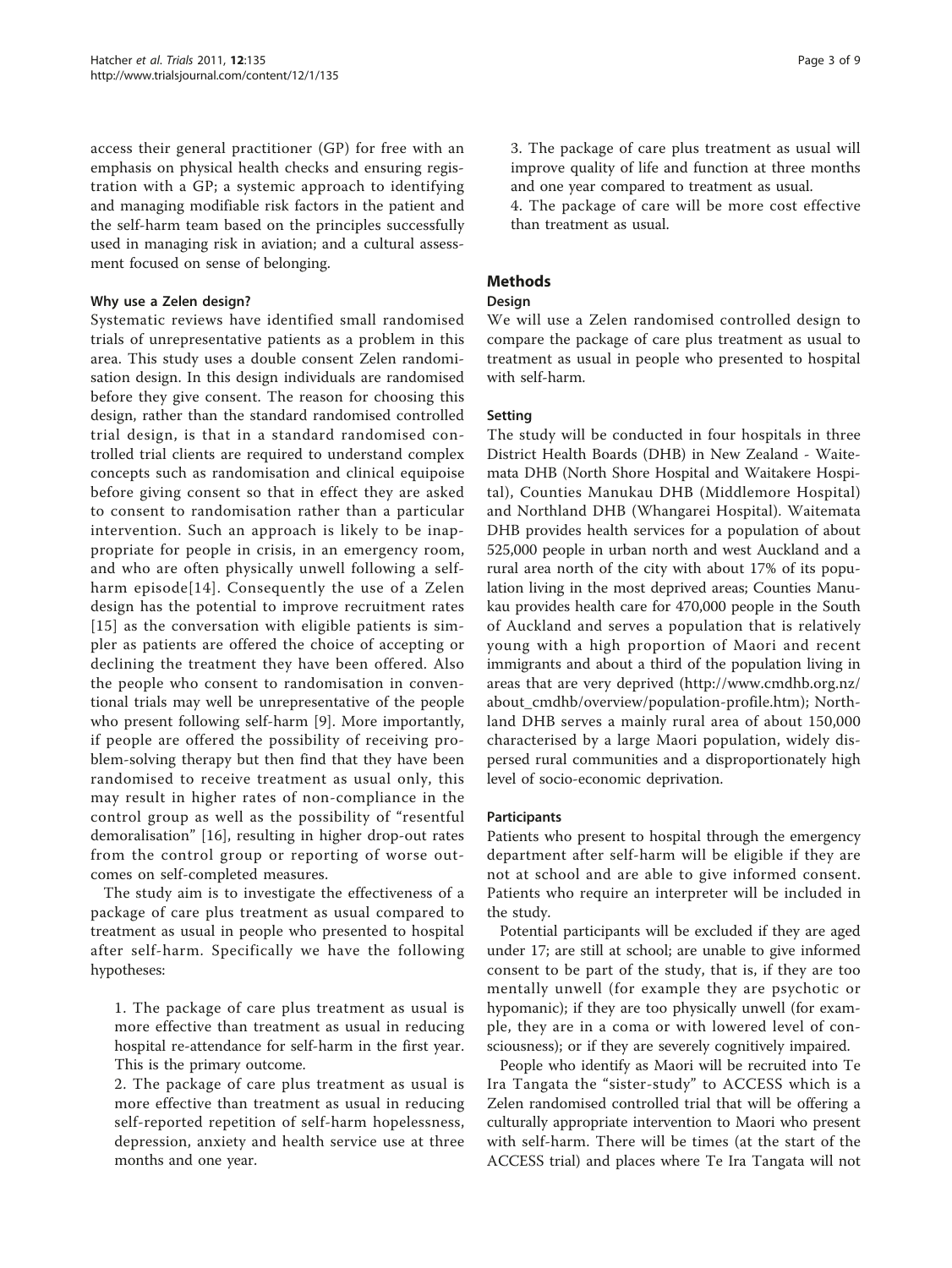access their general practitioner (GP) for free with an emphasis on physical health checks and ensuring registration with a GP; a systemic approach to identifying and managing modifiable risk factors in the patient and the self-harm team based on the principles successfully used in managing risk in aviation; and a cultural assessment focused on sense of belonging.

#### Why use a Zelen design?

Systematic reviews have identified small randomised trials of unrepresentative patients as a problem in this area. This study uses a double consent Zelen randomisation design. In this design individuals are randomised before they give consent. The reason for choosing this design, rather than the standard randomised controlled trial design, is that in a standard randomised controlled trial clients are required to understand complex concepts such as randomisation and clinical equipoise before giving consent so that in effect they are asked to consent to randomisation rather than a particular intervention. Such an approach is likely to be inappropriate for people in crisis, in an emergency room, and who are often physically unwell following a self-harm episode<sup>[\[14](#page-9-0)]</sup>. Consequently the use of a Zelen design has the potential to improve recruitment rates [[15](#page-9-0)] as the conversation with eligible patients is simpler as patients are offered the choice of accepting or declining the treatment they have been offered. Also the people who consent to randomisation in conventional trials may well be unrepresentative of the people who present following self-harm [[9\]](#page-9-0). More importantly, if people are offered the possibility of receiving problem-solving therapy but then find that they have been randomised to receive treatment as usual only, this may result in higher rates of non-compliance in the control group as well as the possibility of "resentful demoralisation" [\[16](#page-9-0)], resulting in higher drop-out rates from the control group or reporting of worse outcomes on self-completed measures.

The study aim is to investigate the effectiveness of a package of care plus treatment as usual compared to treatment as usual in people who presented to hospital after self-harm. Specifically we have the following hypotheses:

1. The package of care plus treatment as usual is more effective than treatment as usual in reducing hospital re-attendance for self-harm in the first year. This is the primary outcome.

2. The package of care plus treatment as usual is more effective than treatment as usual in reducing self-reported repetition of self-harm hopelessness, depression, anxiety and health service use at three months and one year.

3. The package of care plus treatment as usual will improve quality of life and function at three months and one year compared to treatment as usual.

4. The package of care will be more cost effective than treatment as usual.

## Methods

#### **Design**

We will use a Zelen randomised controlled design to compare the package of care plus treatment as usual to treatment as usual in people who presented to hospital with self-harm.

#### Setting

The study will be conducted in four hospitals in three District Health Boards (DHB) in New Zealand - Waitemata DHB (North Shore Hospital and Waitakere Hospital), Counties Manukau DHB (Middlemore Hospital) and Northland DHB (Whangarei Hospital). Waitemata DHB provides health services for a population of about 525,000 people in urban north and west Auckland and a rural area north of the city with about 17% of its population living in the most deprived areas; Counties Manukau provides health care for 470,000 people in the South of Auckland and serves a population that is relatively young with a high proportion of Maori and recent immigrants and about a third of the population living in areas that are very deprived [\(http://www.cmdhb.org.nz/](http://www.cmdhb.org.nz/about_cmdhb/overview/population-profile.htm) [about\\_cmdhb/overview/population-profile.htm\)](http://www.cmdhb.org.nz/about_cmdhb/overview/population-profile.htm); Northland DHB serves a mainly rural area of about 150,000 characterised by a large Maori population, widely dispersed rural communities and a disproportionately high level of socio-economic deprivation.

#### Participants

Patients who present to hospital through the emergency department after self-harm will be eligible if they are not at school and are able to give informed consent. Patients who require an interpreter will be included in the study.

Potential participants will be excluded if they are aged under 17; are still at school; are unable to give informed consent to be part of the study, that is, if they are too mentally unwell (for example they are psychotic or hypomanic); if they are too physically unwell (for example, they are in a coma or with lowered level of consciousness); or if they are severely cognitively impaired.

People who identify as Maori will be recruited into Te Ira Tangata the "sister-study" to ACCESS which is a Zelen randomised controlled trial that will be offering a culturally appropriate intervention to Maori who present with self-harm. There will be times (at the start of the ACCESS trial) and places where Te Ira Tangata will not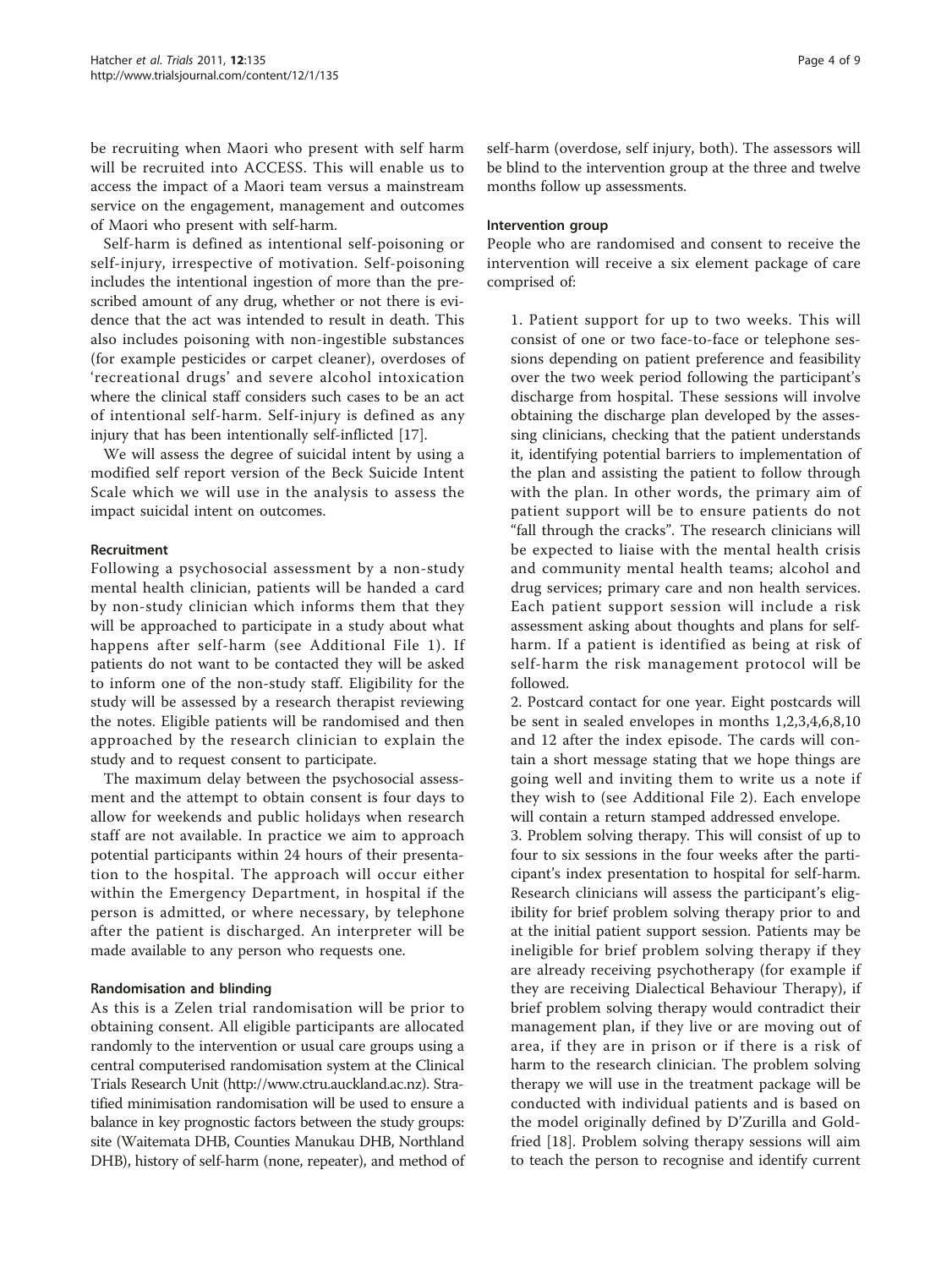be recruiting when Maori who present with self harm will be recruited into ACCESS. This will enable us to access the impact of a Maori team versus a mainstream service on the engagement, management and outcomes of Maori who present with self-harm.

Self-harm is defined as intentional self-poisoning or self-injury, irrespective of motivation. Self-poisoning includes the intentional ingestion of more than the prescribed amount of any drug, whether or not there is evidence that the act was intended to result in death. This also includes poisoning with non-ingestible substances (for example pesticides or carpet cleaner), overdoses of 'recreational drugs' and severe alcohol intoxication where the clinical staff considers such cases to be an act of intentional self-harm. Self-injury is defined as any injury that has been intentionally self-inflicted [[17](#page-9-0)].

We will assess the degree of suicidal intent by using a modified self report version of the Beck Suicide Intent Scale which we will use in the analysis to assess the impact suicidal intent on outcomes.

#### Recruitment

Following a psychosocial assessment by a non-study mental health clinician, patients will be handed a card by non-study clinician which informs them that they will be approached to participate in a study about what happens after self-harm (see Additional File [1\)](#page-8-0). If patients do not want to be contacted they will be asked to inform one of the non-study staff. Eligibility for the study will be assessed by a research therapist reviewing the notes. Eligible patients will be randomised and then approached by the research clinician to explain the study and to request consent to participate.

The maximum delay between the psychosocial assessment and the attempt to obtain consent is four days to allow for weekends and public holidays when research staff are not available. In practice we aim to approach potential participants within 24 hours of their presentation to the hospital. The approach will occur either within the Emergency Department, in hospital if the person is admitted, or where necessary, by telephone after the patient is discharged. An interpreter will be made available to any person who requests one.

## Randomisation and blinding

As this is a Zelen trial randomisation will be prior to obtaining consent. All eligible participants are allocated randomly to the intervention or usual care groups using a central computerised randomisation system at the Clinical Trials Research Unit ([http://www.ctru.auckland.ac.nz\)](http://www.ctru.auckland.ac.nz). Stratified minimisation randomisation will be used to ensure a balance in key prognostic factors between the study groups: site (Waitemata DHB, Counties Manukau DHB, Northland DHB), history of self-harm (none, repeater), and method of self-harm (overdose, self injury, both). The assessors will be blind to the intervention group at the three and twelve months follow up assessments.

### Intervention group

People who are randomised and consent to receive the intervention will receive a six element package of care comprised of:

1. Patient support for up to two weeks. This will consist of one or two face-to-face or telephone sessions depending on patient preference and feasibility over the two week period following the participant's discharge from hospital. These sessions will involve obtaining the discharge plan developed by the assessing clinicians, checking that the patient understands it, identifying potential barriers to implementation of the plan and assisting the patient to follow through with the plan. In other words, the primary aim of patient support will be to ensure patients do not "fall through the cracks". The research clinicians will be expected to liaise with the mental health crisis and community mental health teams; alcohol and drug services; primary care and non health services. Each patient support session will include a risk assessment asking about thoughts and plans for selfharm. If a patient is identified as being at risk of self-harm the risk management protocol will be followed.

2. Postcard contact for one year. Eight postcards will be sent in sealed envelopes in months 1,2,3,4,6,8,10 and 12 after the index episode. The cards will contain a short message stating that we hope things are going well and inviting them to write us a note if they wish to (see Additional File [2](#page-8-0)). Each envelope will contain a return stamped addressed envelope.

3. Problem solving therapy. This will consist of up to four to six sessions in the four weeks after the participant's index presentation to hospital for self-harm. Research clinicians will assess the participant's eligibility for brief problem solving therapy prior to and at the initial patient support session. Patients may be ineligible for brief problem solving therapy if they are already receiving psychotherapy (for example if they are receiving Dialectical Behaviour Therapy), if brief problem solving therapy would contradict their management plan, if they live or are moving out of area, if they are in prison or if there is a risk of harm to the research clinician. The problem solving therapy we will use in the treatment package will be conducted with individual patients and is based on the model originally defined by D'Zurilla and Goldfried [\[18](#page-9-0)]. Problem solving therapy sessions will aim to teach the person to recognise and identify current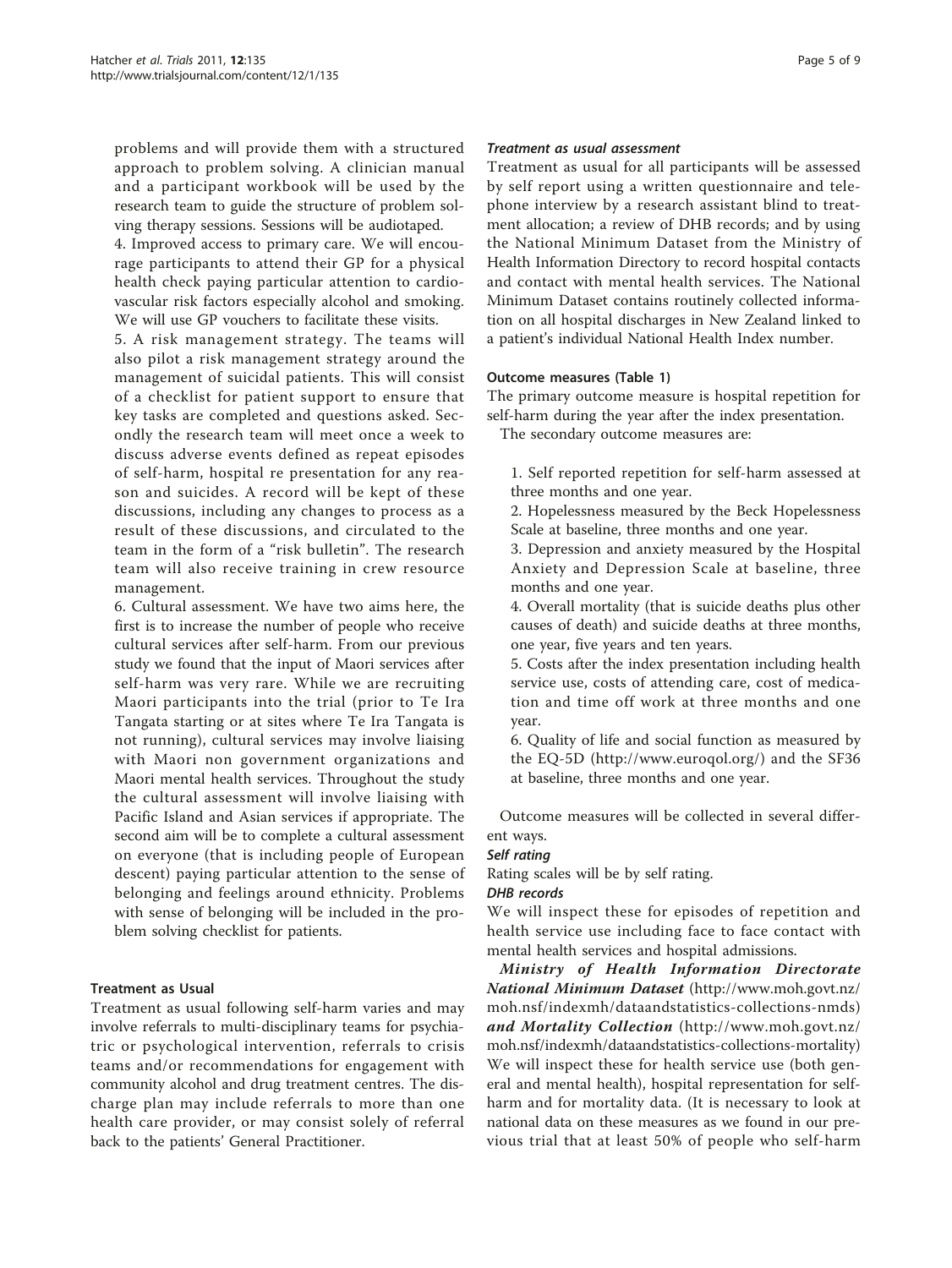problems and will provide them with a structured approach to problem solving. A clinician manual and a participant workbook will be used by the research team to guide the structure of problem solving therapy sessions. Sessions will be audiotaped.

4. Improved access to primary care. We will encourage participants to attend their GP for a physical health check paying particular attention to cardiovascular risk factors especially alcohol and smoking. We will use GP vouchers to facilitate these visits.

5. A risk management strategy. The teams will also pilot a risk management strategy around the management of suicidal patients. This will consist of a checklist for patient support to ensure that key tasks are completed and questions asked. Secondly the research team will meet once a week to discuss adverse events defined as repeat episodes of self-harm, hospital re presentation for any reason and suicides. A record will be kept of these discussions, including any changes to process as a result of these discussions, and circulated to the team in the form of a "risk bulletin". The research team will also receive training in crew resource management.

6. Cultural assessment. We have two aims here, the first is to increase the number of people who receive cultural services after self-harm. From our previous study we found that the input of Maori services after self-harm was very rare. While we are recruiting Maori participants into the trial (prior to Te Ira Tangata starting or at sites where Te Ira Tangata is not running), cultural services may involve liaising with Maori non government organizations and Maori mental health services. Throughout the study the cultural assessment will involve liaising with Pacific Island and Asian services if appropriate. The second aim will be to complete a cultural assessment on everyone (that is including people of European descent) paying particular attention to the sense of belonging and feelings around ethnicity. Problems with sense of belonging will be included in the problem solving checklist for patients.

#### Treatment as Usual

Treatment as usual following self-harm varies and may involve referrals to multi-disciplinary teams for psychiatric or psychological intervention, referrals to crisis teams and/or recommendations for engagement with community alcohol and drug treatment centres. The discharge plan may include referrals to more than one health care provider, or may consist solely of referral back to the patients' General Practitioner.

#### Treatment as usual assessment

Treatment as usual for all participants will be assessed by self report using a written questionnaire and telephone interview by a research assistant blind to treatment allocation; a review of DHB records; and by using the National Minimum Dataset from the Ministry of Health Information Directory to record hospital contacts and contact with mental health services. The National Minimum Dataset contains routinely collected information on all hospital discharges in New Zealand linked to a patient's individual National Health Index number.

#### Outcome measures (Table [1](#page-6-0))

The primary outcome measure is hospital repetition for self-harm during the year after the index presentation.

The secondary outcome measures are:

1. Self reported repetition for self-harm assessed at three months and one year.

2. Hopelessness measured by the Beck Hopelessness Scale at baseline, three months and one year.

3. Depression and anxiety measured by the Hospital Anxiety and Depression Scale at baseline, three months and one year.

4. Overall mortality (that is suicide deaths plus other causes of death) and suicide deaths at three months, one year, five years and ten years.

5. Costs after the index presentation including health service use, costs of attending care, cost of medication and time off work at three months and one year.

6. Quality of life and social function as measured by the EQ-5D ([http://www.euroqol.org/\)](http://www.euroqol.org/) and the SF36 at baseline, three months and one year.

Outcome measures will be collected in several different ways.

#### Self rating

Rating scales will be by self rating.

#### DHB records

We will inspect these for episodes of repetition and health service use including face to face contact with mental health services and hospital admissions.

Ministry of Health Information Directorate National Minimum Dataset ([http://www.moh.govt.nz/](http://www.moh.govt.nz/moh.nsf/indexmh/dataandstatistics-collections-nmds) [moh.nsf/indexmh/dataandstatistics-collections-nmds](http://www.moh.govt.nz/moh.nsf/indexmh/dataandstatistics-collections-nmds)) and Mortality Collection [\(http://www.moh.govt.nz/](http://www.moh.govt.nz/moh.nsf/indexmh/dataandstatistics-collections-mortality) [moh.nsf/indexmh/dataandstatistics-collections-mortality](http://www.moh.govt.nz/moh.nsf/indexmh/dataandstatistics-collections-mortality)) We will inspect these for health service use (both general and mental health), hospital representation for selfharm and for mortality data. (It is necessary to look at national data on these measures as we found in our previous trial that at least 50% of people who self-harm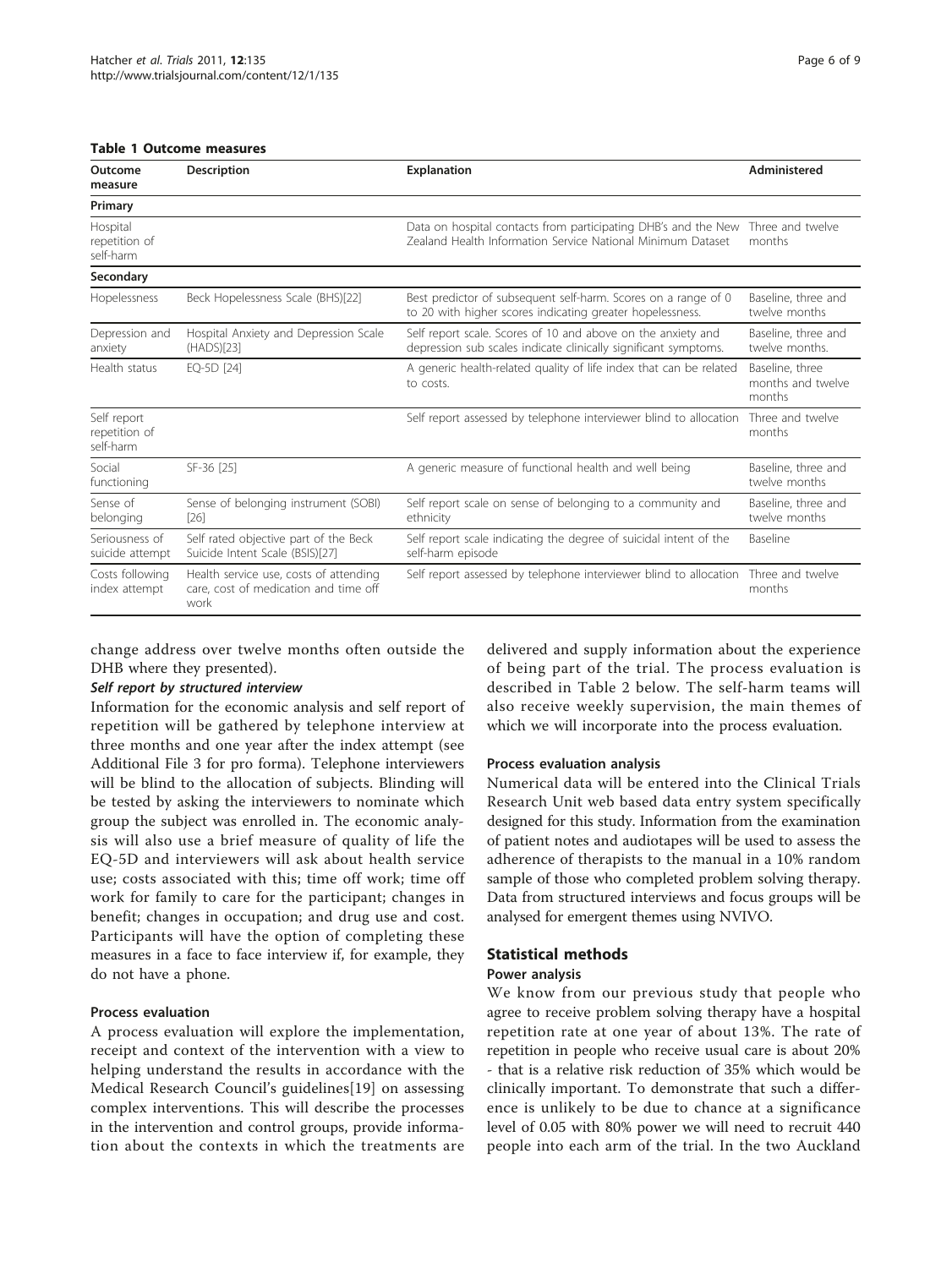#### <span id="page-6-0"></span>Table 1 Outcome measures

| Outcome<br>measure                        | <b>Description</b>                                                                      | <b>Explanation</b>                                                                                                              | Administered                                   |
|-------------------------------------------|-----------------------------------------------------------------------------------------|---------------------------------------------------------------------------------------------------------------------------------|------------------------------------------------|
| Primary                                   |                                                                                         |                                                                                                                                 |                                                |
| Hospital<br>repetition of<br>self-harm    |                                                                                         | Data on hospital contacts from participating DHB's and the New<br>Zealand Health Information Service National Minimum Dataset   | Three and twelve<br>months                     |
| Secondary                                 |                                                                                         |                                                                                                                                 |                                                |
| Hopelessness                              | Beck Hopelessness Scale (BHS)[22]                                                       | Best predictor of subsequent self-harm. Scores on a range of 0<br>to 20 with higher scores indicating greater hopelessness.     | Baseline, three and<br>twelve months           |
| Depression and<br>anxiety                 | Hospital Anxiety and Depression Scale<br>$(HADS)$ [23]                                  | Self report scale. Scores of 10 and above on the anxiety and<br>depression sub scales indicate clinically significant symptoms. | Baseline, three and<br>twelve months.          |
| Health status                             | EO-5D [24]                                                                              | A generic health-related quality of life index that can be related<br>to costs.                                                 | Baseline, three<br>months and twelve<br>months |
| Self report<br>repetition of<br>self-harm |                                                                                         | Self report assessed by telephone interviewer blind to allocation                                                               | Three and twelve<br>months                     |
| Social<br>functioning                     | SF-36 [25]                                                                              | A generic measure of functional health and well being                                                                           | Baseline, three and<br>twelve months           |
| Sense of<br>belonging                     | Sense of belonging instrument (SOBI)<br>[26]                                            | Self report scale on sense of belonging to a community and<br>ethnicity                                                         | Baseline, three and<br>twelve months           |
| Seriousness of<br>suicide attempt         | Self rated objective part of the Beck<br>Suicide Intent Scale (BSIS)[27]                | Self report scale indicating the degree of suicidal intent of the<br>self-harm episode                                          | Baseline                                       |
| Costs following<br>index attempt          | Health service use, costs of attending<br>care, cost of medication and time off<br>work | Self report assessed by telephone interviewer blind to allocation                                                               | Three and twelve<br>months                     |

change address over twelve months often outside the DHB where they presented).

#### Self report by structured interview

Information for the economic analysis and self report of repetition will be gathered by telephone interview at three months and one year after the index attempt (see Additional File [3](#page-8-0) for pro forma). Telephone interviewers will be blind to the allocation of subjects. Blinding will be tested by asking the interviewers to nominate which group the subject was enrolled in. The economic analysis will also use a brief measure of quality of life the EQ-5D and interviewers will ask about health service use; costs associated with this; time off work; time off work for family to care for the participant; changes in benefit; changes in occupation; and drug use and cost. Participants will have the option of completing these measures in a face to face interview if, for example, they do not have a phone.

#### Process evaluation

A process evaluation will explore the implementation, receipt and context of the intervention with a view to helping understand the results in accordance with the Medical Research Council's guidelines[[19](#page-9-0)] on assessing complex interventions. This will describe the processes in the intervention and control groups, provide information about the contexts in which the treatments are

delivered and supply information about the experience of being part of the trial. The process evaluation is described in Table [2](#page-7-0) below. The self-harm teams will also receive weekly supervision, the main themes of which we will incorporate into the process evaluation.

#### Process evaluation analysis

Numerical data will be entered into the Clinical Trials Research Unit web based data entry system specifically designed for this study. Information from the examination of patient notes and audiotapes will be used to assess the adherence of therapists to the manual in a 10% random sample of those who completed problem solving therapy. Data from structured interviews and focus groups will be analysed for emergent themes using NVIVO.

#### Statistical methods

#### Power analysis

We know from our previous study that people who agree to receive problem solving therapy have a hospital repetition rate at one year of about 13%. The rate of repetition in people who receive usual care is about 20% - that is a relative risk reduction of 35% which would be clinically important. To demonstrate that such a difference is unlikely to be due to chance at a significance level of 0.05 with 80% power we will need to recruit 440 people into each arm of the trial. In the two Auckland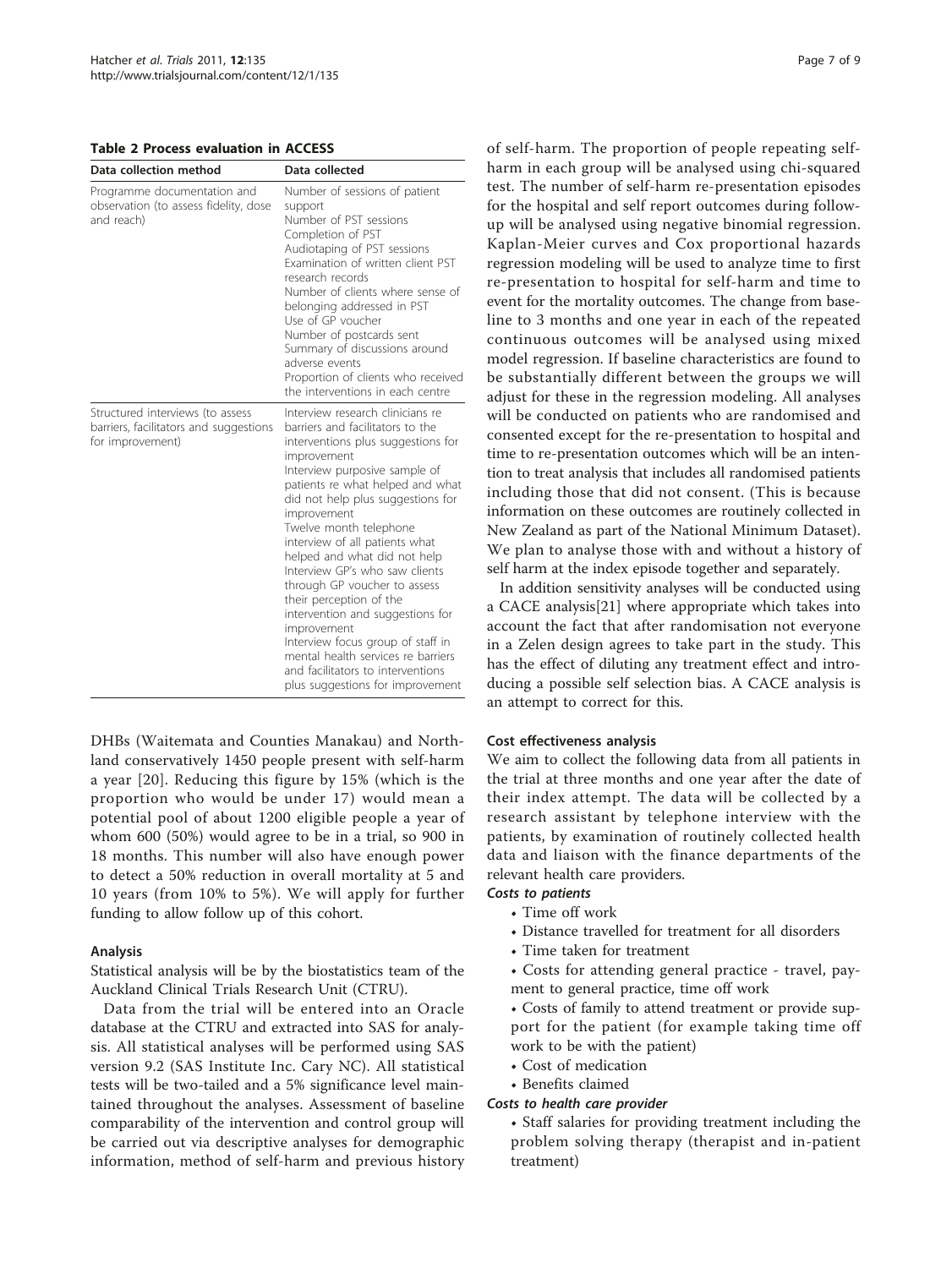#### <span id="page-7-0"></span>Table 2 Process evaluation in ACCESS

| Data collection method                                                                         | Data collected                                                                                                                                                                                                                                                                                                                                                                                                                                                                                                                                                                                                                                     |
|------------------------------------------------------------------------------------------------|----------------------------------------------------------------------------------------------------------------------------------------------------------------------------------------------------------------------------------------------------------------------------------------------------------------------------------------------------------------------------------------------------------------------------------------------------------------------------------------------------------------------------------------------------------------------------------------------------------------------------------------------------|
| Programme documentation and<br>observation (to assess fidelity, dose<br>and reach)             | Number of sessions of patient<br>support<br>Number of PST sessions<br>Completion of PST<br>Audiotaping of PST sessions<br>Examination of written client PST<br>research records<br>Number of clients where sense of<br>belonging addressed in PST<br>Use of GP voucher<br>Number of postcards sent<br>Summary of discussions around<br>adverse events<br>Proportion of clients who received<br>the interventions in each centre                                                                                                                                                                                                                    |
| Structured interviews (to assess<br>barriers, facilitators and suggestions<br>for improvement) | Interview research clinicians re<br>barriers and facilitators to the<br>interventions plus suggestions for<br>improvement<br>Interview purposive sample of<br>patients re what helped and what<br>did not help plus suggestions for<br>improvement<br>Twelve month telephone<br>interview of all patients what<br>helped and what did not help<br>Interview GP's who saw clients<br>through GP voucher to assess<br>their perception of the<br>intervention and suggestions for<br>improvement<br>Interview focus group of staff in<br>mental health services re barriers<br>and facilitators to interventions<br>plus suggestions for improvement |

DHBs (Waitemata and Counties Manakau) and Northland conservatively 1450 people present with self-harm a year [[20\]](#page-9-0). Reducing this figure by 15% (which is the proportion who would be under 17) would mean a potential pool of about 1200 eligible people a year of whom 600 (50%) would agree to be in a trial, so 900 in 18 months. This number will also have enough power to detect a 50% reduction in overall mortality at 5 and 10 years (from 10% to 5%). We will apply for further funding to allow follow up of this cohort.

#### Analysis

Statistical analysis will be by the biostatistics team of the Auckland Clinical Trials Research Unit (CTRU).

Data from the trial will be entered into an Oracle database at the CTRU and extracted into SAS for analysis. All statistical analyses will be performed using SAS version 9.2 (SAS Institute Inc. Cary NC). All statistical tests will be two-tailed and a 5% significance level maintained throughout the analyses. Assessment of baseline comparability of the intervention and control group will be carried out via descriptive analyses for demographic information, method of self-harm and previous history of self-harm. The proportion of people repeating selfharm in each group will be analysed using chi-squared test. The number of self-harm re-presentation episodes for the hospital and self report outcomes during followup will be analysed using negative binomial regression. Kaplan-Meier curves and Cox proportional hazards regression modeling will be used to analyze time to first re-presentation to hospital for self-harm and time to event for the mortality outcomes. The change from baseline to 3 months and one year in each of the repeated continuous outcomes will be analysed using mixed model regression. If baseline characteristics are found to be substantially different between the groups we will adjust for these in the regression modeling. All analyses will be conducted on patients who are randomised and consented except for the re-presentation to hospital and time to re-presentation outcomes which will be an intention to treat analysis that includes all randomised patients including those that did not consent. (This is because information on these outcomes are routinely collected in New Zealand as part of the National Minimum Dataset). We plan to analyse those with and without a history of self harm at the index episode together and separately.

In addition sensitivity analyses will be conducted using a CACE analysis[[21\]](#page-9-0) where appropriate which takes into account the fact that after randomisation not everyone in a Zelen design agrees to take part in the study. This has the effect of diluting any treatment effect and introducing a possible self selection bias. A CACE analysis is an attempt to correct for this.

#### Cost effectiveness analysis

We aim to collect the following data from all patients in the trial at three months and one year after the date of their index attempt. The data will be collected by a research assistant by telephone interview with the patients, by examination of routinely collected health data and liaison with the finance departments of the relevant health care providers.

#### Costs to patients

- Time off work
- Distance travelled for treatment for all disorders
- Time taken for treatment
- Costs for attending general practice travel, payment to general practice, time off work

• Costs of family to attend treatment or provide support for the patient (for example taking time off work to be with the patient)

- Cost of medication
- Benefits claimed

#### Costs to health care provider

• Staff salaries for providing treatment including the problem solving therapy (therapist and in-patient treatment)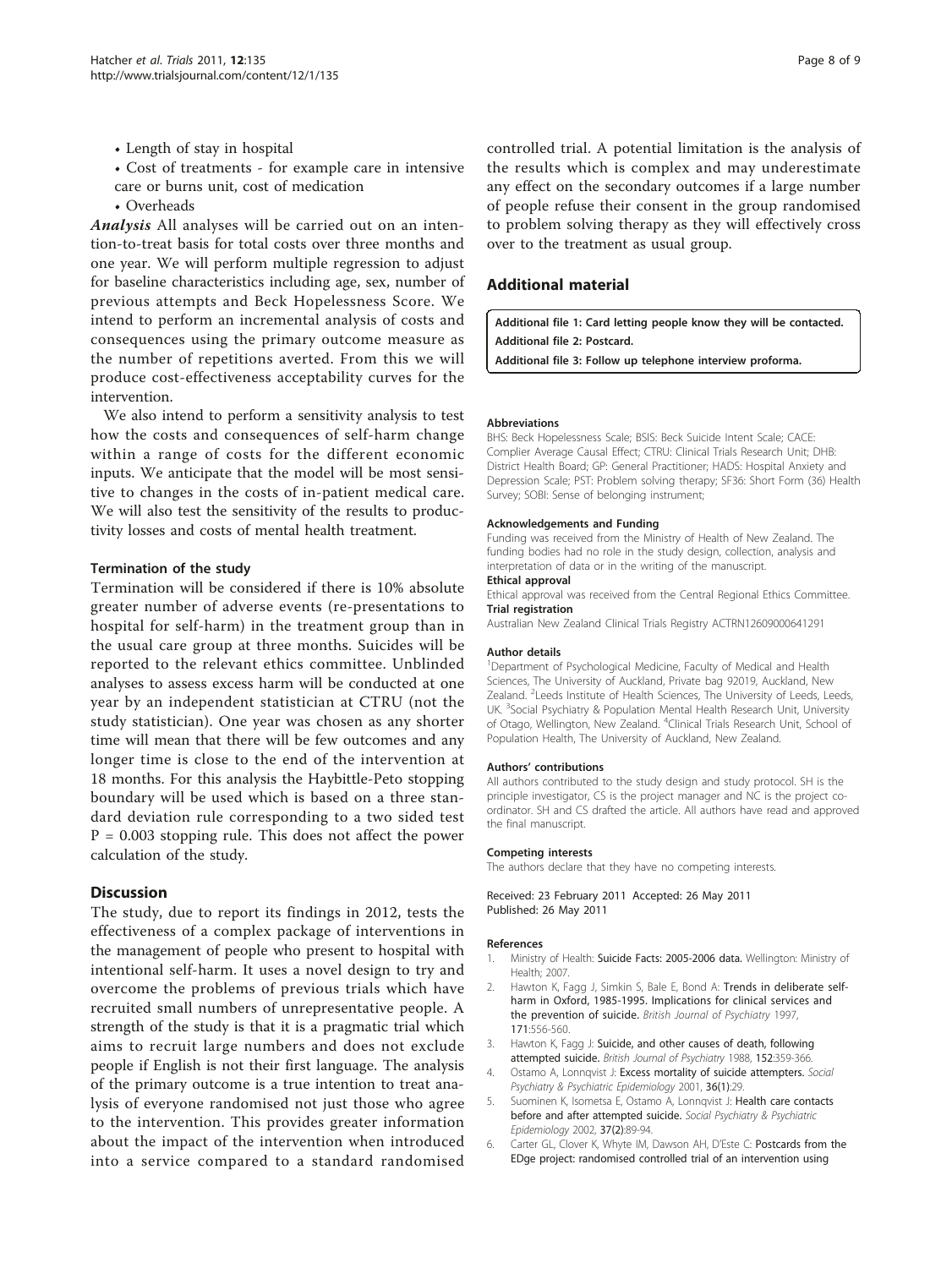- <span id="page-8-0"></span>• Length of stay in hospital
- Cost of treatments for example care in intensive care or burns unit, cost of medication
- Overheads

Analysis All analyses will be carried out on an intention-to-treat basis for total costs over three months and one year. We will perform multiple regression to adjust for baseline characteristics including age, sex, number of previous attempts and Beck Hopelessness Score. We intend to perform an incremental analysis of costs and consequences using the primary outcome measure as the number of repetitions averted. From this we will produce cost-effectiveness acceptability curves for the intervention.

We also intend to perform a sensitivity analysis to test how the costs and consequences of self-harm change within a range of costs for the different economic inputs. We anticipate that the model will be most sensitive to changes in the costs of in-patient medical care. We will also test the sensitivity of the results to productivity losses and costs of mental health treatment.

#### Termination of the study

Termination will be considered if there is 10% absolute greater number of adverse events (re-presentations to hospital for self-harm) in the treatment group than in the usual care group at three months. Suicides will be reported to the relevant ethics committee. Unblinded analyses to assess excess harm will be conducted at one year by an independent statistician at CTRU (not the study statistician). One year was chosen as any shorter time will mean that there will be few outcomes and any longer time is close to the end of the intervention at 18 months. For this analysis the Haybittle-Peto stopping boundary will be used which is based on a three standard deviation rule corresponding to a two sided test  $P = 0.003$  stopping rule. This does not affect the power calculation of the study.

#### **Discussion**

The study, due to report its findings in 2012, tests the effectiveness of a complex package of interventions in the management of people who present to hospital with intentional self-harm. It uses a novel design to try and overcome the problems of previous trials which have recruited small numbers of unrepresentative people. A strength of the study is that it is a pragmatic trial which aims to recruit large numbers and does not exclude people if English is not their first language. The analysis of the primary outcome is a true intention to treat analysis of everyone randomised not just those who agree to the intervention. This provides greater information about the impact of the intervention when introduced into a service compared to a standard randomised

controlled trial. A potential limitation is the analysis of the results which is complex and may underestimate any effect on the secondary outcomes if a large number of people refuse their consent in the group randomised to problem solving therapy as they will effectively cross over to the treatment as usual group.

#### Additional material

[Additional file 1: C](http://www.biomedcentral.com/content/supplementary/1745-6215-12-135-S1.DOC)ard letting people know they will be contacted. [Additional file 2: P](http://www.biomedcentral.com/content/supplementary/1745-6215-12-135-S2.DOC)ostcard.

[Additional file 3: F](http://www.biomedcentral.com/content/supplementary/1745-6215-12-135-S3.DOC)ollow up telephone interview proforma.

#### Abbreviations

BHS: Beck Hopelessness Scale; BSIS: Beck Suicide Intent Scale; CACE: Complier Average Causal Effect; CTRU: Clinical Trials Research Unit; DHB: District Health Board; GP: General Practitioner; HADS: Hospital Anxiety and Depression Scale; PST: Problem solving therapy; SF36: Short Form (36) Health Survey; SOBI: Sense of belonging instrument;

#### Acknowledgements and Funding

Funding was received from the Ministry of Health of New Zealand. The funding bodies had no role in the study design, collection, analysis and interpretation of data or in the writing of the manuscript.

#### Ethical approval

Ethical approval was received from the Central Regional Ethics Committee. Trial registration

Australian New Zealand Clinical Trials Registry ACTRN12609000641291

#### Author details

<sup>1</sup>Department of Psychological Medicine, Faculty of Medical and Health Sciences, The University of Auckland, Private bag 92019, Auckland, New Zealand. <sup>2</sup> Leeds Institute of Health Sciences, The University of Leeds, Leeds, UK. <sup>3</sup>Social Psychiatry & Population Mental Health Research Unit, University of Otago, Wellington, New Zealand. <sup>4</sup>Clinical Trials Research Unit, School of Population Health, The University of Auckland, New Zealand.

#### Authors' contributions

All authors contributed to the study design and study protocol. SH is the principle investigator, CS is the project manager and NC is the project coordinator. SH and CS drafted the article. All authors have read and approved the final manuscript.

#### Competing interests

The authors declare that they have no competing interests.

Received: 23 February 2011 Accepted: 26 May 2011 Published: 26 May 2011

#### References

- 1. Ministry of Health: Suicide Facts: 2005-2006 data. Wellington: Ministry of Health; 2007.
- 2. Hawton K, Fagg J, Simkin S, Bale E, Bond A: [Trends in deliberate self](http://www.ncbi.nlm.nih.gov/pubmed/9519096?dopt=Abstract)[harm in Oxford, 1985-1995. Implications for clinical services and](http://www.ncbi.nlm.nih.gov/pubmed/9519096?dopt=Abstract) [the prevention of suicide.](http://www.ncbi.nlm.nih.gov/pubmed/9519096?dopt=Abstract) British Journal of Psychiatry 1997, 171:556-560.
- 3. Hawton K, Fagg J: [Suicide, and other causes of death, following](http://www.ncbi.nlm.nih.gov/pubmed/3167371?dopt=Abstract) [attempted suicide.](http://www.ncbi.nlm.nih.gov/pubmed/3167371?dopt=Abstract) British Journal of Psychiatry 1988, 152:359-366.
- 4. Ostamo A, Lonnqvist J: [Excess mortality of suicide attempters.](http://www.ncbi.nlm.nih.gov/pubmed/21623478?dopt=Abstract) Social Psychiatry & Psychiatric Epidemiology 2001, 36(1):29.
- 5. Suominen K, Isometsa E, Ostamo A, Lonnqvist J: [Health care contacts](http://www.ncbi.nlm.nih.gov/pubmed/21623478?dopt=Abstract) [before and after attempted suicide.](http://www.ncbi.nlm.nih.gov/pubmed/21623478?dopt=Abstract) Social Psychiatry & Psychiatric Epidemiology 2002, 37(2):89-94.
- 6. Carter GL, Clover K, Whyte IM, Dawson AH, D'Este C: [Postcards from the](http://www.ncbi.nlm.nih.gov/pubmed/16183654?dopt=Abstract) [EDge project: randomised controlled trial of an intervention using](http://www.ncbi.nlm.nih.gov/pubmed/16183654?dopt=Abstract)